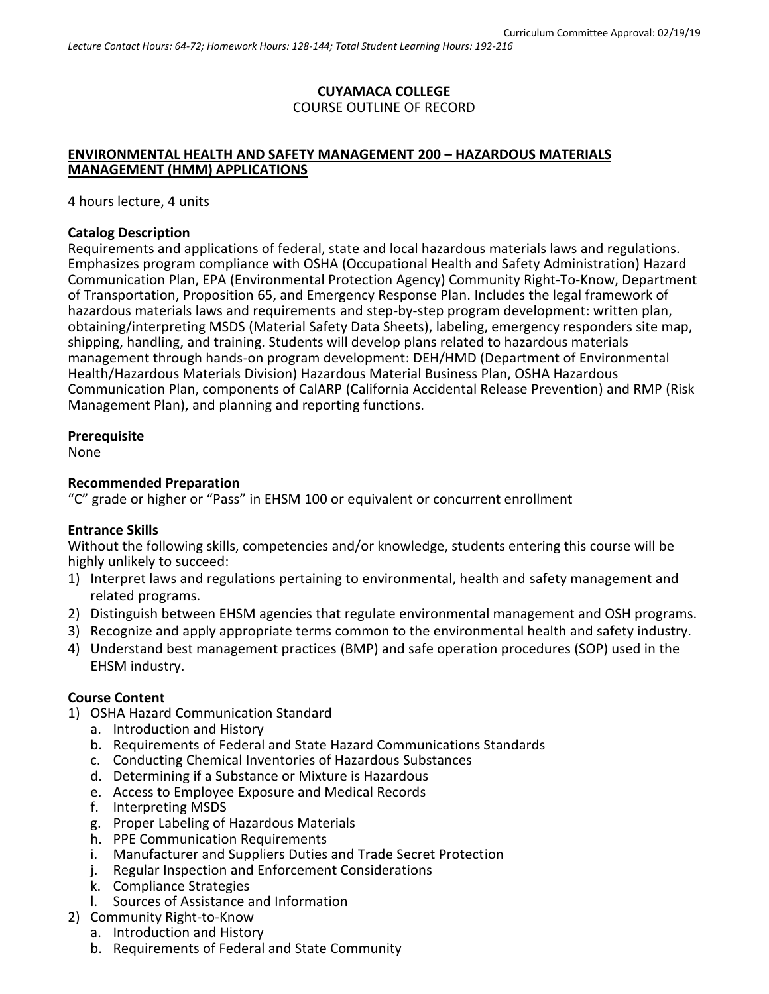## **CUYAMACA COLLEGE** COURSE OUTLINE OF RECORD

## **ENVIRONMENTAL HEALTH AND SAFETY MANAGEMENT 200 – HAZARDOUS MATERIALS MANAGEMENT (HMM) APPLICATIONS**

4 hours lecture, 4 units

#### **Catalog Description**

Requirements and applications of federal, state and local hazardous materials laws and regulations. Emphasizes program compliance with OSHA (Occupational Health and Safety Administration) Hazard Communication Plan, EPA (Environmental Protection Agency) Community Right-To-Know, Department of Transportation, Proposition 65, and Emergency Response Plan. Includes the legal framework of hazardous materials laws and requirements and step-by-step program development: written plan, obtaining/interpreting MSDS (Material Safety Data Sheets), labeling, emergency responders site map, shipping, handling, and training. Students will develop plans related to hazardous materials management through hands-on program development: DEH/HMD (Department of Environmental Health/Hazardous Materials Division) Hazardous Material Business Plan, OSHA Hazardous Communication Plan, components of CalARP (California Accidental Release Prevention) and RMP (Risk Management Plan), and planning and reporting functions.

## **Prerequisite**

None

#### **Recommended Preparation**

"C" grade or higher or "Pass" in EHSM 100 or equivalent or concurrent enrollment

## **Entrance Skills**

Without the following skills, competencies and/or knowledge, students entering this course will be highly unlikely to succeed:

- 1) Interpret laws and regulations pertaining to environmental, health and safety management and related programs.
- 2) Distinguish between EHSM agencies that regulate environmental management and OSH programs.
- 3) Recognize and apply appropriate terms common to the environmental health and safety industry.
- 4) Understand best management practices (BMP) and safe operation procedures (SOP) used in the EHSM industry.

## **Course Content**

- 1) OSHA Hazard Communication Standard
	- a. Introduction and History
	- b. Requirements of Federal and State Hazard Communications Standards
	- c. Conducting Chemical Inventories of Hazardous Substances
	- d. Determining if a Substance or Mixture is Hazardous
	- e. Access to Employee Exposure and Medical Records
	- f. Interpreting MSDS
	- g. Proper Labeling of Hazardous Materials
	- h. PPE Communication Requirements
	- i. Manufacturer and Suppliers Duties and Trade Secret Protection
	- j. Regular Inspection and Enforcement Considerations
	- k. Compliance Strategies
	- l. Sources of Assistance and Information
- 2) Community Right-to-Know
	- a. Introduction and History
	- b. Requirements of Federal and State Community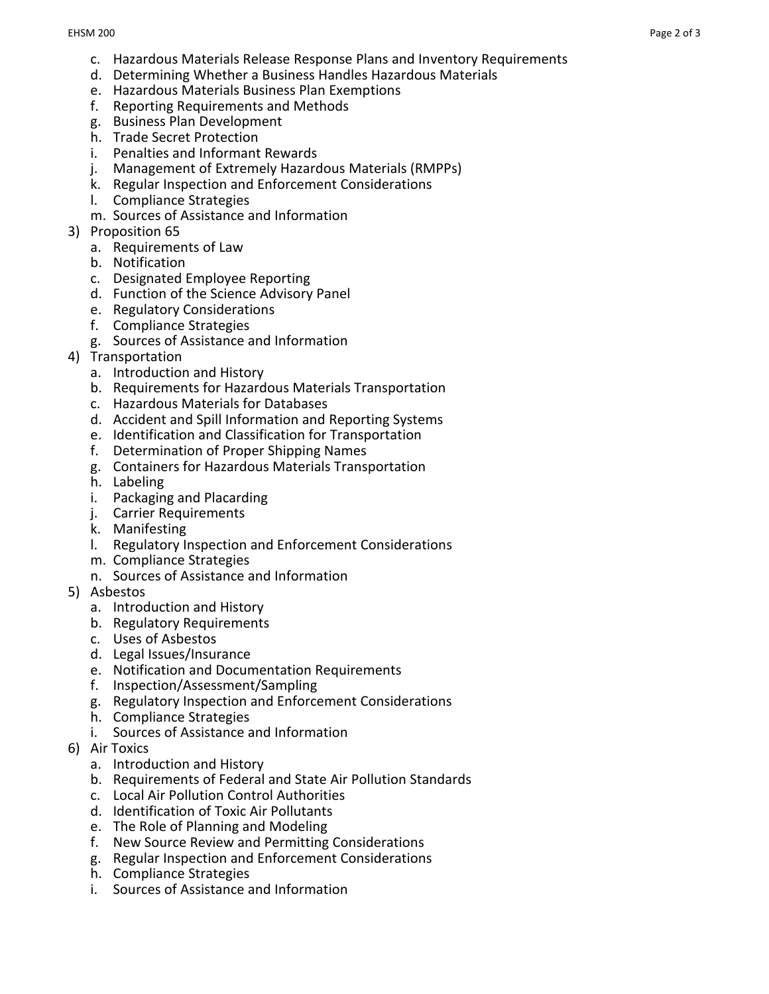- c. Hazardous Materials Release Response Plans and Inventory Requirements
- d. Determining Whether a Business Handles Hazardous Materials
- e. Hazardous Materials Business Plan Exemptions
- f. Reporting Requirements and Methods
- g. Business Plan Development
- h. Trade Secret Protection
- i. Penalties and Informant Rewards
- j. Management of Extremely Hazardous Materials (RMPPs)
- k. Regular Inspection and Enforcement Considerations
- l. Compliance Strategies
- m. Sources of Assistance and Information
- 3) Proposition 65
	- a. Requirements of Law
	- b. Notification
	- c. Designated Employee Reporting
	- d. Function of the Science Advisory Panel
	- e. Regulatory Considerations
	- f. Compliance Strategies
	- g. Sources of Assistance and Information
- 4) Transportation
	- a. Introduction and History
	- b. Requirements for Hazardous Materials Transportation
	- c. Hazardous Materials for Databases
	- d. Accident and Spill Information and Reporting Systems
	- e. Identification and Classification for Transportation
	- f. Determination of Proper Shipping Names
	- g. Containers for Hazardous Materials Transportation
	- h. Labeling
	- i. Packaging and Placarding
	- j. Carrier Requirements
	- k. Manifesting
	- l. Regulatory Inspection and Enforcement Considerations
	- m. Compliance Strategies
	- n. Sources of Assistance and Information
- 5) Asbestos
	- a. Introduction and History
	- b. Regulatory Requirements
	- c. Uses of Asbestos
	- d. Legal Issues/Insurance
	- e. Notification and Documentation Requirements
	- f. Inspection/Assessment/Sampling
	- g. Regulatory Inspection and Enforcement Considerations
	- h. Compliance Strategies
	- i. Sources of Assistance and Information
- 6) Air Toxics
	- a. Introduction and History
	- b. Requirements of Federal and State Air Pollution Standards
	- c. Local Air Pollution Control Authorities
	- d. Identification of Toxic Air Pollutants
	- e. The Role of Planning and Modeling
	- f. New Source Review and Permitting Considerations
	- g. Regular Inspection and Enforcement Considerations
	- h. Compliance Strategies
	- i. Sources of Assistance and Information